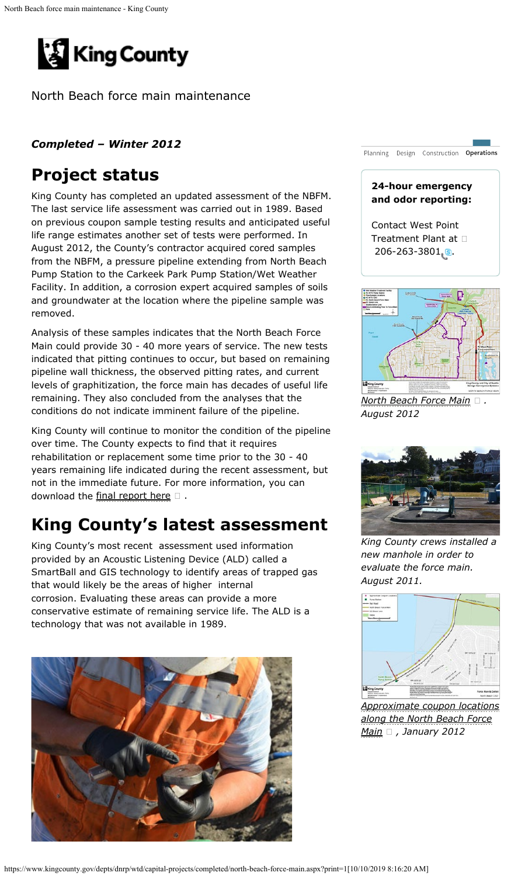<span id="page-0-0"></span>

North Beach force main maintenance

#### *Completed – Winter 2012*

## **Project status**

King County has completed an updated assessment of the NBFM. The last service life assessment was carried out in 1989. Based on previous coupon sample testing results and anticipated useful life range estimates another set of tests were performed. In August 2012, the County's contractor acquired cored samples from the NBFM, a pressure pipeline extending from North Beach Pump Station to the Carkeek Park Pump Station/Wet Weather Facility. In addition, a corrosion expert acquired samples of soils and groundwater at the location where the pipeline sample was removed.

Analysis of these samples indicates that the North Beach Force Main could provide 30 - 40 more years of service. The new tests indicated that pitting continues to occur, but based on remaining pipeline wall thickness, the observed pitting rates, and current levels of graphitization, the force main has decades of useful life remaining. They also concluded from the analyses that the conditions do not indicate imminent failure of the pipeline.

King County will continue to monitor the condition of the pipeline over time. The County expects to find that it requires rehabilitation or replacement some time prior to the 30 - 40 years remaining life indicated during the recent assessment, but not in the immediate future. For more information, you can download the [final report here](https://www.kingcounty.gov/~/media/depts/dnrp/wtd/capital-projects/COMPLETED/NBeachFM/docs/1212_NBeachFMConditionAssessment.ashx?la=en)  $\square$ .

# **King County's latest assessment**

King County's most recent assessment used information provided by an Acoustic Listening Device (ALD) called a SmartBall and GIS technology to identify areas of trapped gas that would likely be the areas of higher internal corrosion. Evaluating these areas can provide a more conservative estimate of remaining service life. The ALD is a technology that was not available in 1989.





*[North Beach Force Main](https://www.kingcounty.gov/~/media/depts/dnrp/wtd/capital-projects/COMPLETED/NBeachFM/docs/1208_NBeach_FMPipeSampleLocations.ashx?la=en) . August 2012*



*King County crews installed a new manhole in order to evaluate the force main. August 2011.*



*[Approximate coupon locations](https://www.kingcounty.gov/~/media/depts/dnrp/wtd/capital-projects/COMPLETED/NBeachFM/docs/1201_NBForcemainOutfall.ashx?la=en) [along the North Beach Force](https://www.kingcounty.gov/~/media/depts/dnrp/wtd/capital-projects/COMPLETED/NBeachFM/docs/1201_NBForcemainOutfall.ashx?la=en) [Main](https://www.kingcounty.gov/~/media/depts/dnrp/wtd/capital-projects/COMPLETED/NBeachFM/docs/1201_NBForcemainOutfall.ashx?la=en) , January 2012*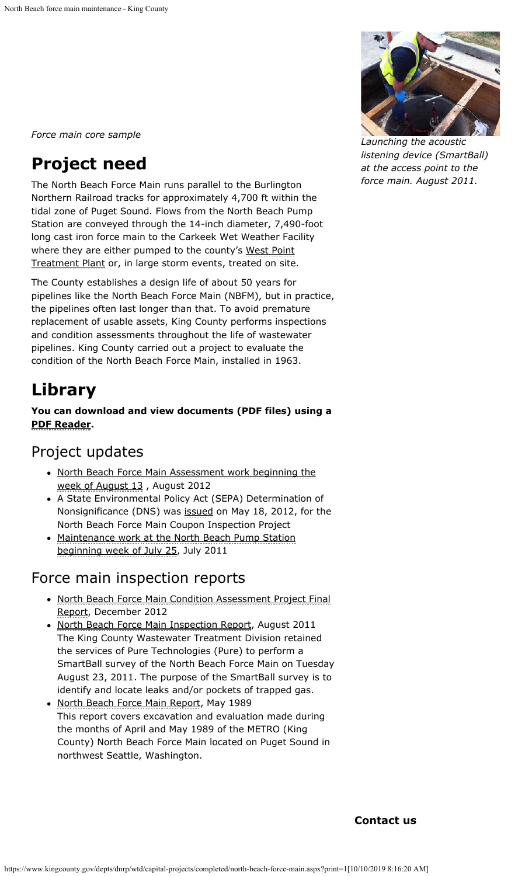*Force main core sample*

# **Project need**

The North Beach Force Main runs parallel to the Burlington Northern Railroad tracks for approximately 4,700 ft within the tidal zone of Puget Sound. Flows from the North Beach Pump Station are conveyed through the 14-inch diameter, 7,490-foot long cast iron force main to the Carkeek Wet Weather Facility where they are either pumped to the county's [West Point](https://www.kingcounty.gov/depts/dnrp/wtd/system/west.aspx) [Treatment Plant](https://www.kingcounty.gov/depts/dnrp/wtd/system/west.aspx) or, in large storm events, treated on site.

The County establishes a design life of about 50 years for pipelines like the North Beach Force Main (NBFM), but in practice, the pipelines often last longer than that. To avoid premature replacement of usable assets, King County performs inspections and condition assessments throughout the life of wastewater pipelines. King County carried out a project to evaluate the condition of the North Beach Force Main, installed in 1963.

## **Library**

**You can download and view documents (PDF files) using a [PDF Reader](https://www.kingcounty.gov/about/softwareHelp.aspx).**

### Project updates

- [North Beach Force Main Assessment work beginning the](https://www.kingcounty.gov/~/media/depts/dnrp/wtd/capital-projects/COMPLETED/NBeachFM/docs/1208_NorthBeachFM_Assessment.ashx?la=en) [week of August 13](https://www.kingcounty.gov/~/media/depts/dnrp/wtd/capital-projects/COMPLETED/NBeachFM/docs/1208_NorthBeachFM_Assessment.ashx?la=en) , August 2012
- A State Environmental Policy Act (SEPA) Determination of Nonsignificance (DNS) was **[issued](https://your.kingcounty.gov/dnrp/library/wastewater/wtd/construction/NorthBeachFM/120518_NorthBeachForceMain_CouponInspection_SEPA-DNS_Checklist.pdf)** on May 18, 2012, for the North Beach Force Main Coupon Inspection Project
- [Maintenance work at the North Beach Pump Station](https://www.kingcounty.gov/~/media/depts/dnrp/wtd/capital-projects/COMPLETED/NBeachFM/docs/1107_NBEACHmaint.ashx?la=en) [beginning week of July 25](https://www.kingcounty.gov/~/media/depts/dnrp/wtd/capital-projects/COMPLETED/NBeachFM/docs/1107_NBEACHmaint.ashx?la=en), July 2011

### Force main inspection reports

- [North Beach Force Main Condition Assessment Project Final](https://www.kingcounty.gov/~/media/depts/dnrp/wtd/capital-projects/COMPLETED/NBeachFM/docs/1212_NBeachFMConditionAssessment.ashx?la=en) [Report](https://www.kingcounty.gov/~/media/depts/dnrp/wtd/capital-projects/COMPLETED/NBeachFM/docs/1212_NBeachFMConditionAssessment.ashx?la=en), December 2012
- [North Beach Force Main Inspection Report](https://your.kingcounty.gov/dnrp/library/wastewater/wtd/construction/NorthBeachFM/1108_NorthBeachForceMainInspectionReport.pdf), August 2011 The King County Wastewater Treatment Division retained the services of Pure Technologies (Pure) to perform a SmartBall survey of the North Beach Force Main on Tuesday August 23, 2011. The purpose of the SmartBall survey is to identify and locate leaks and/or pockets of trapped gas.
- [North Beach Force Main Report](https://your.kingcounty.gov/dnrp/library/wastewater/wtd/construction/NorthBeachFM/8905_NorthBeachForceMainInspectionReport_May1989.pdf), May 1989 This report covers excavation and evaluation made during the months of April and May 1989 of the METRO (King County) North Beach Force Main located on Puget Sound in northwest Seattle, Washington.



*Launching the acoustic listening device (SmartBall) at the access point to the force main. August 2011.*

**Contact us**